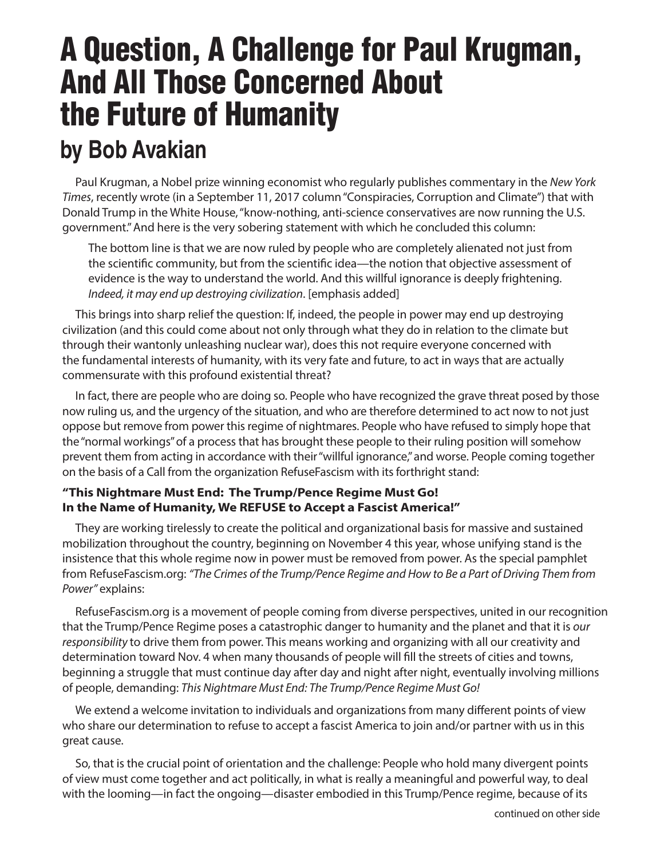# A Question, A Challenge for Paul Krugman, And All Those Concerned About the Future of Humanity **by Bob Avakian**

Paul Krugman, a Nobel prize winning economist who regularly publishes commentary in the *New York Times*, recently wrote (in a September 11, 2017 column "Conspiracies, Corruption and Climate") that with Donald Trump in the White House, "know-nothing, anti-science conservatives are now running the U.S. government." And here is the very sobering statement with which he concluded this column:

The bottom line is that we are now ruled by people who are completely alienated not just from the scientific community, but from the scientific idea—the notion that objective assessment of evidence is the way to understand the world. And this willful ignorance is deeply frightening. *Indeed, it may end up destroying civilization*. [emphasis added]

This brings into sharp relief the question: If, indeed, the people in power may end up destroying civilization (and this could come about not only through what they do in relation to the climate but through their wantonly unleashing nuclear war), does this not require everyone concerned with the fundamental interests of humanity, with its very fate and future, to act in ways that are actually commensurate with this profound existential threat?

In fact, there are people who are doing so. People who have recognized the grave threat posed by those now ruling us, and the urgency of the situation, and who are therefore determined to act now to not just oppose but remove from power this regime of nightmares. People who have refused to simply hope that the "normal workings" of a process that has brought these people to their ruling position will somehow prevent them from acting in accordance with their "willful ignorance," and worse. People coming together on the basis of a Call from the organization RefuseFascism with its forthright stand:

### **"This Nightmare Must End: The Trump/Pence Regime Must Go! In the Name of Humanity, We REFUSE to Accept a Fascist America!"**

They are working tirelessly to create the political and organizational basis for massive and sustained mobilization throughout the country, beginning on November 4 this year, whose unifying stand is the insistence that this whole regime now in power must be removed from power. As the special pamphlet from RefuseFascism.org: *"The Crimes of the Trump/Pence Regime and How to Be a Part of Driving Them from Power"* explains:

RefuseFascism.org is a movement of people coming from diverse perspectives, united in our recognition that the Trump/Pence Regime poses a catastrophic danger to humanity and the planet and that it is *our responsibility* to drive them from power. This means working and organizing with all our creativity and determination toward Nov. 4 when many thousands of people will fill the streets of cities and towns, beginning a struggle that must continue day after day and night after night, eventually involving millions of people, demanding: *This Nightmare Must End: The Trump/Pence Regime Must Go!*

We extend a welcome invitation to individuals and organizations from many different points of view who share our determination to refuse to accept a fascist America to join and/or partner with us in this great cause.

So, that is the crucial point of orientation and the challenge: People who hold many divergent points of view must come together and act politically, in what is really a meaningful and powerful way, to deal with the looming—in fact the ongoing—disaster embodied in this Trump/Pence regime, because of its